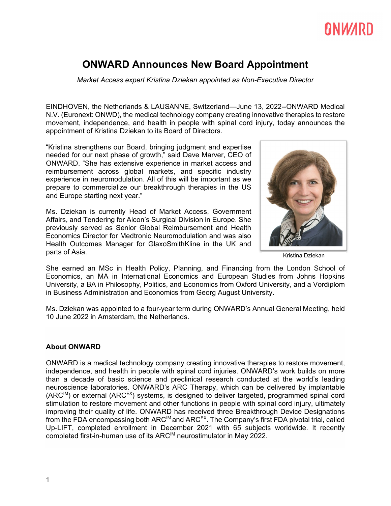# **ANWARD**

### **ONWARD Announces New Board Appointment**

*Market Access expert Kristina Dziekan appointed as Non-Executive Director*

EINDHOVEN, the Netherlands & LAUSANNE, Switzerland—June 13, 2022--ONWARD Medical N.V. (Euronext: ONWD), the medical technology company creating innovative therapies to restore movement, independence, and health in people with spinal cord injury, today announces the appointment of Kristina Dziekan to its Board of Directors.

"Kristina strengthens our Board, bringing judgment and expertise needed for our next phase of growth," said Dave Marver, CEO of ONWARD. "She has extensive experience in market access and reimbursement across global markets, and specific industry experience in neuromodulation. All of this will be important as we prepare to commercialize our breakthrough therapies in the US and Europe starting next year."

Ms. Dziekan is currently Head of Market Access, Government Affairs, and Tendering for Alcon's Surgical Division in Europe. She previously served as Senior Global Reimbursement and Health Economics Director for Medtronic Neuromodulation and was also Health Outcomes Manager for GlaxoSmithKline in the UK and parts of Asia.



Kristina Dziekan

She earned an MSc in Health Policy, Planning, and Financing from the London School of Economics, an MA in International Economics and European Studies from Johns Hopkins University, a BA in Philosophy, Politics, and Economics from Oxford University, and a Vordiplom in Business Administration and Economics from Georg August University.

Ms. Dziekan was appointed to a four-year term during ONWARD's Annual General Meeting, held 10 June 2022 in Amsterdam, the Netherlands.

#### **About ONWARD**

ONWARD is a medical technology company creating innovative therapies to restore movement, independence, and health in people with spinal cord injuries. ONWARD's work builds on more than a decade of basic science and preclinical research conducted at the world's leading neuroscience laboratories. ONWARD's ARC Therapy, which can be delivered by implantable  $(ARC^{IM})$  or external  $(ARC^{EX})$  systems, is designed to deliver targeted, programmed spinal cord stimulation to restore movement and other functions in people with spinal cord injury, ultimately improving their quality of life. ONWARD has received three Breakthrough Device Designations from the FDA encompassing both ARC<sup>IM</sup> and ARC<sup>EX</sup>. The Company's first FDA pivotal trial, called Up-LIFT, completed enrollment in December 2021 with 65 subjects worldwide. It recently completed first-in-human use of its ARCIM neurostimulator in May 2022.